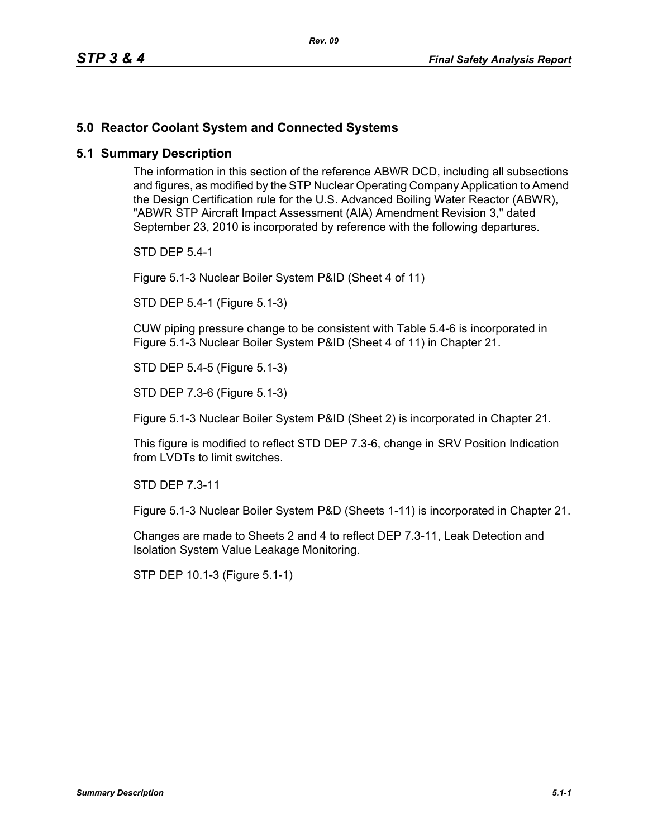## **5.0 Reactor Coolant System and Connected Systems**

## **5.1 Summary Description**

The information in this section of the reference ABWR DCD, including all subsections and figures, as modified by the STP Nuclear Operating Company Application to Amend the Design Certification rule for the U.S. Advanced Boiling Water Reactor (ABWR), "ABWR STP Aircraft Impact Assessment (AIA) Amendment Revision 3," dated September 23, 2010 is incorporated by reference with the following departures.

STD DEP 5.4-1

Figure 5.1-3 Nuclear Boiler System P&ID (Sheet 4 of 11)

STD DEP 5.4-1 (Figure 5.1-3)

CUW piping pressure change to be consistent with Table 5.4-6 is incorporated in Figure 5.1-3 Nuclear Boiler System P&ID (Sheet 4 of 11) in Chapter 21.

STD DEP 5.4-5 (Figure 5.1-3)

STD DEP 7.3-6 (Figure 5.1-3)

Figure 5.1-3 Nuclear Boiler System P&ID (Sheet 2) is incorporated in Chapter 21.

This figure is modified to reflect STD DEP 7.3-6, change in SRV Position Indication from LVDTs to limit switches.

STD DEP 7.3-11

Figure 5.1-3 Nuclear Boiler System P&D (Sheets 1-11) is incorporated in Chapter 21.

Changes are made to Sheets 2 and 4 to reflect DEP 7.3-11, Leak Detection and Isolation System Value Leakage Monitoring.

STP DEP 10.1-3 (Figure 5.1-1)